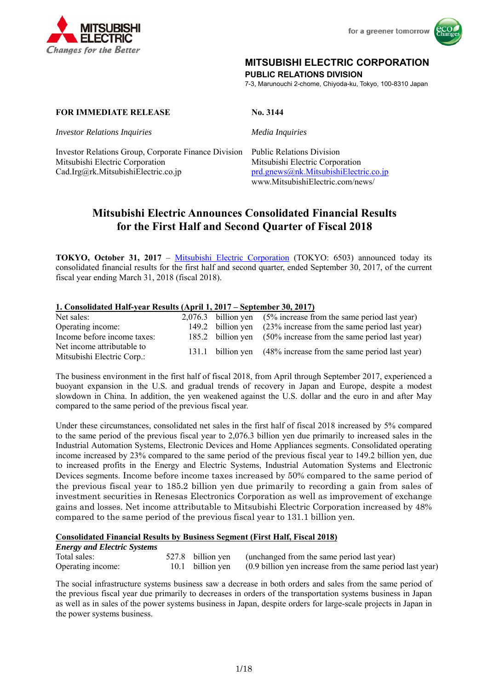



# **MITSUBISHI ELECTRIC CORPORATION**

**PUBLIC RELATIONS DIVISION** 

7-3, Marunouchi 2-chome, Chiyoda-ku, Tokyo, 100-8310 Japan

### **FOR IMMEDIATE RELEASE No. 3144**

*Investor Relations Inquiries Media Inquiries*

Investor Relations Group, Corporate Finance Division Public Relations Division Mitsubishi Electric Corporation Mitsubishi Electric Corporation Cad.Irg@rk.MitsubishiElectric.co.jp prd.gnews@nk.MitsubishiElectric.co.jp

www.MitsubishiElectric.com/news/

# **Mitsubishi Electric Announces Consolidated Financial Results for the First Half and Second Quarter of Fiscal 2018**

**TOKYO, October 31, 2017** – Mitsubishi Electric Corporation (TOKYO: 6503) announced today its consolidated financial results for the first half and second quarter, ended September 30, 2017, of the current fiscal year ending March 31, 2018 (fiscal 2018).

### **1. Consolidated Half-year Results (April 1, 2017 – September 30, 2017)**

| Net sales:                                               |  | $2,076.3$ billion yen $(5\%$ increase from the same period last year) |
|----------------------------------------------------------|--|-----------------------------------------------------------------------|
| Operating income:                                        |  | 149.2 billion yen (23% increase from the same period last year)       |
| Income before income taxes:                              |  | 185.2 billion yen (50% increase from the same period last year)       |
| Net income attributable to<br>Mitsubishi Electric Corp.: |  | 131.1 billion yen (48% increase from the same period last year)       |

The business environment in the first half of fiscal 2018, from April through September 2017, experienced a buoyant expansion in the U.S. and gradual trends of recovery in Japan and Europe, despite a modest slowdown in China. In addition, the yen weakened against the U.S. dollar and the euro in and after May compared to the same period of the previous fiscal year.

Under these circumstances, consolidated net sales in the first half of fiscal 2018 increased by 5% compared to the same period of the previous fiscal year to 2,076.3 billion yen due primarily to increased sales in the Industrial Automation Systems, Electronic Devices and Home Appliances segments. Consolidated operating income increased by 23% compared to the same period of the previous fiscal year to 149.2 billion yen, due to increased profits in the Energy and Electric Systems, Industrial Automation Systems and Electronic Devices segments. Income before income taxes increased by 50% compared to the same period of the previous fiscal year to 185.2 billion yen due primarily to recording a gain from sales of investment securities in Renesas Electronics Corporation as well as improvement of exchange gains and losses. Net income attributable to Mitsubishi Electric Corporation increased by 48% compared to the same period of the previous fiscal year to 131.1 billion yen.

### **Consolidated Financial Results by Business Segment (First Half, Fiscal 2018)**

| <b>Energy and Electric Systems</b> |  |                                                                            |
|------------------------------------|--|----------------------------------------------------------------------------|
| Total sales:                       |  | 527.8 billion yen (unchanged from the same period last year)               |
| Operating income:                  |  | 10.1 billion yen (0.9 billion yen increase from the same period last year) |

The social infrastructure systems business saw a decrease in both orders and sales from the same period of the previous fiscal year due primarily to decreases in orders of the transportation systems business in Japan as well as in sales of the power systems business in Japan, despite orders for large-scale projects in Japan in the power systems business.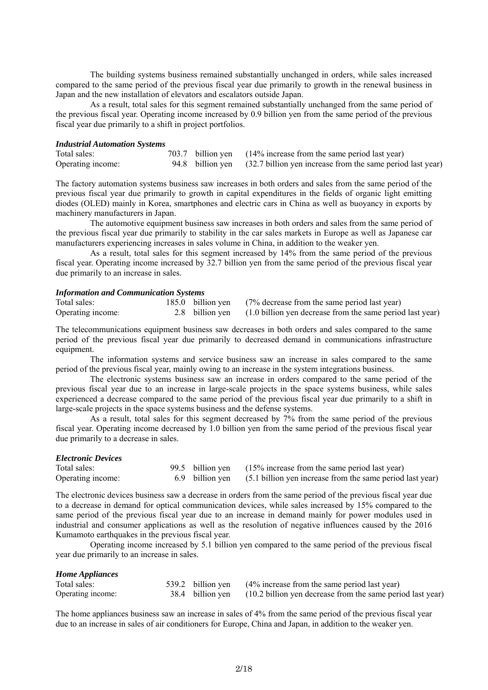The building systems business remained substantially unchanged in orders, while sales increased compared to the same period of the previous fiscal year due primarily to growth in the renewal business in Japan and the new installation of elevators and escalators outside Japan.

As a result, total sales for this segment remained substantially unchanged from the same period of the previous fiscal year. Operating income increased by 0.9 billion yen from the same period of the previous fiscal year due primarily to a shift in project portfolios.

#### *Industrial Automation Systems*

| Total sales:      |  | 703.7 billion yen (14% increase from the same period last year)             |
|-------------------|--|-----------------------------------------------------------------------------|
| Operating income: |  | 94.8 billion yen (32.7 billion yen increase from the same period last year) |

The factory automation systems business saw increases in both orders and sales from the same period of the previous fiscal year due primarily to growth in capital expenditures in the fields of organic light emitting diodes (OLED) mainly in Korea, smartphones and electric cars in China as well as buoyancy in exports by machinery manufacturers in Japan.

The automotive equipment business saw increases in both orders and sales from the same period of the previous fiscal year due primarily to stability in the car sales markets in Europe as well as Japanese car manufacturers experiencing increases in sales volume in China, in addition to the weaker yen.

 As a result, total sales for this segment increased by 14% from the same period of the previous fiscal year. Operating income increased by 32.7 billion yen from the same period of the previous fiscal year due primarily to an increase in sales.

### *Information and Communication Systems*

| Total sales:      |  | 185.0 billion yen (7% decrease from the same period last year)            |
|-------------------|--|---------------------------------------------------------------------------|
| Operating income: |  | 2.8 billion yen (1.0 billion yen decrease from the same period last year) |

The telecommunications equipment business saw decreases in both orders and sales compared to the same period of the previous fiscal year due primarily to decreased demand in communications infrastructure equipment.

The information systems and service business saw an increase in sales compared to the same period of the previous fiscal year, mainly owing to an increase in the system integrations business.

The electronic systems business saw an increase in orders compared to the same period of the previous fiscal year due to an increase in large-scale projects in the space systems business, while sales experienced a decrease compared to the same period of the previous fiscal year due primarily to a shift in large-scale projects in the space systems business and the defense systems.

As a result, total sales for this segment decreased by 7% from the same period of the previous fiscal year. Operating income decreased by 1.0 billion yen from the same period of the previous fiscal year due primarily to a decrease in sales.

| <i><b>Electronic Devices</b></i> |  |                                                                           |
|----------------------------------|--|---------------------------------------------------------------------------|
| Total sales:                     |  | 99.5 billion yen (15% increase from the same period last year)            |
| Operating income:                |  | 6.9 billion yen (5.1 billion yen increase from the same period last year) |

The electronic devices business saw a decrease in orders from the same period of the previous fiscal year due to a decrease in demand for optical communication devices, while sales increased by 15% compared to the same period of the previous fiscal year due to an increase in demand mainly for power modules used in industrial and consumer applications as well as the resolution of negative influences caused by the 2016 Kumamoto earthquakes in the previous fiscal year.

Operating income increased by 5.1 billion yen compared to the same period of the previous fiscal year due primarily to an increase in sales.

| <b>Home Appliances</b> |                  |                                                                |
|------------------------|------------------|----------------------------------------------------------------|
| Total sales:           |                  | 539.2 billion yen (4% increase from the same period last year) |
| Operating income:      | 38.4 billion ven | (10.2 billion yen decrease from the same period last year)     |

The home appliances business saw an increase in sales of 4% from the same period of the previous fiscal year due to an increase in sales of air conditioners for Europe, China and Japan, in addition to the weaker yen.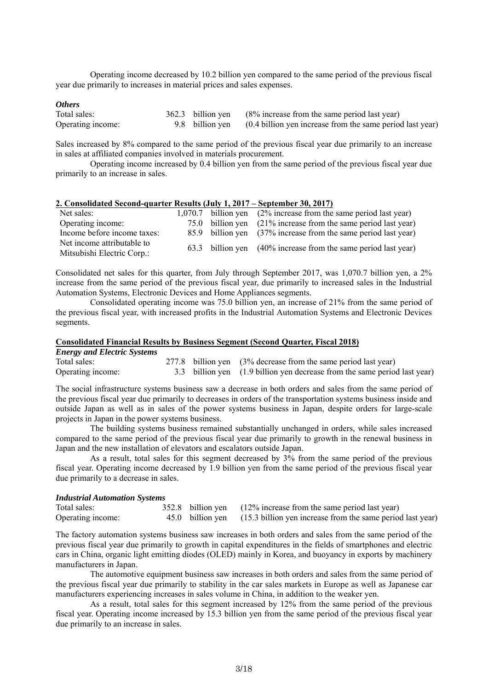Operating income decreased by 10.2 billion yen compared to the same period of the previous fiscal year due primarily to increases in material prices and sales expenses.

### *Others*

| Total sales:      |  | 362.3 billion yen (8% increase from the same period last year)            |
|-------------------|--|---------------------------------------------------------------------------|
| Operating income: |  | 9.8 billion yen (0.4 billion yen increase from the same period last year) |

Sales increased by 8% compared to the same period of the previous fiscal year due primarily to an increase in sales at affiliated companies involved in materials procurement.

Operating income increased by 0.4 billion yen from the same period of the previous fiscal year due primarily to an increase in sales.

### **2. Consolidated Second-quarter Results (July 1, 2017 – September 30, 2017)**

| Net sales:                  |  | $1,070.7$ billion yen $(2\%$ increase from the same period last year) |
|-----------------------------|--|-----------------------------------------------------------------------|
| Operating income:           |  | 75.0 billion yen (21% increase from the same period last year)        |
| Income before income taxes: |  | 85.9 billion yen (37% increase from the same period last year)        |
| Net income attributable to  |  | 63.3 billion yen (40% increase from the same period last year)        |
| Mitsubishi Electric Corp.:  |  |                                                                       |

Consolidated net sales for this quarter, from July through September 2017, was 1,070.7 billion yen, a 2% increase from the same period of the previous fiscal year, due primarily to increased sales in the Industrial Automation Systems, Electronic Devices and Home Appliances segments.

Consolidated operating income was 75.0 billion yen, an increase of 21% from the same period of the previous fiscal year, with increased profits in the Industrial Automation Systems and Electronic Devices segments.

#### **Consolidated Financial Results by Business Segment (Second Quarter, Fiscal 2018)**  *Energy and Electric Systems*

| <i>Energy and Electric Systems</i> |  |                                                                           |
|------------------------------------|--|---------------------------------------------------------------------------|
| Total sales:                       |  | 277.8 billion yen (3% decrease from the same period last year)            |
| Operating income:                  |  | 3.3 billion yen (1.9 billion yen decrease from the same period last year) |

The social infrastructure systems business saw a decrease in both orders and sales from the same period of the previous fiscal year due primarily to decreases in orders of the transportation systems business inside and outside Japan as well as in sales of the power systems business in Japan, despite orders for large-scale projects in Japan in the power systems business.

The building systems business remained substantially unchanged in orders, while sales increased compared to the same period of the previous fiscal year due primarily to growth in the renewal business in Japan and the new installation of elevators and escalators outside Japan.

As a result, total sales for this segment decreased by  $3\%$  from the same period of the previous fiscal year. Operating income decreased by 1.9 billion yen from the same period of the previous fiscal year due primarily to a decrease in sales.

#### *Industrial Automation Systems*

| Total sales:      |  | 352.8 billion yen (12% increase from the same period last year)             |
|-------------------|--|-----------------------------------------------------------------------------|
| Operating income: |  | 45.0 billion yen (15.3 billion yen increase from the same period last year) |

The factory automation systems business saw increases in both orders and sales from the same period of the previous fiscal year due primarily to growth in capital expenditures in the fields of smartphones and electric cars in China, organic light emitting diodes (OLED) mainly in Korea, and buoyancy in exports by machinery manufacturers in Japan.

The automotive equipment business saw increases in both orders and sales from the same period of the previous fiscal year due primarily to stability in the car sales markets in Europe as well as Japanese car manufacturers experiencing increases in sales volume in China, in addition to the weaker yen.

As a result, total sales for this segment increased by 12% from the same period of the previous fiscal year. Operating income increased by 15.3 billion yen from the same period of the previous fiscal year due primarily to an increase in sales.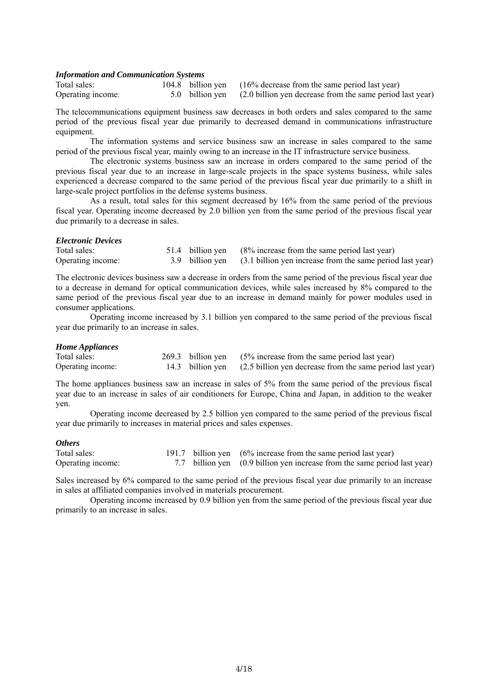#### *Information and Communication Systems*

| Total sales:      | 104.8 billion yen |
|-------------------|-------------------|
| Operating income: | 5.0 billion yen   |

 $(16%$  decrease from the same period last year)  $(2.0$  billion yen decrease from the same period last year)

The telecommunications equipment business saw decreases in both orders and sales compared to the same period of the previous fiscal year due primarily to decreased demand in communications infrastructure equipment.

The information systems and service business saw an increase in sales compared to the same period of the previous fiscal year, mainly owing to an increase in the IT infrastructure service business.

The electronic systems business saw an increase in orders compared to the same period of the previous fiscal year due to an increase in large-scale projects in the space systems business, while sales experienced a decrease compared to the same period of the previous fiscal year due primarily to a shift in large-scale project portfolios in the defense systems business.

As a result, total sales for this segment decreased by 16% from the same period of the previous fiscal year. Operating income decreased by 2.0 billion yen from the same period of the previous fiscal year due primarily to a decrease in sales.

#### *Electronic Devices*

| Total sales:      |  | 51.4 billion yen (8% increase from the same period last year)             |
|-------------------|--|---------------------------------------------------------------------------|
| Operating income: |  | 3.9 billion yen (3.1 billion yen increase from the same period last year) |

The electronic devices business saw a decrease in orders from the same period of the previous fiscal year due to a decrease in demand for optical communication devices, while sales increased by 8% compared to the same period of the previous fiscal year due to an increase in demand mainly for power modules used in consumer applications.

Operating income increased by 3.1 billion yen compared to the same period of the previous fiscal year due primarily to an increase in sales.

#### *Home Appliances*

| Total sales:      |  | 269.3 billion yen (5% increase from the same period last year)             |
|-------------------|--|----------------------------------------------------------------------------|
| Operating income: |  | 14.3 billion yen (2.5 billion yen decrease from the same period last year) |

The home appliances business saw an increase in sales of 5% from the same period of the previous fiscal year due to an increase in sales of air conditioners for Europe, China and Japan, in addition to the weaker yen.

 Operating income decreased by 2.5 billion yen compared to the same period of the previous fiscal year due primarily to increases in material prices and sales expenses.

#### *Others*

| Total sales:      |  | 191.7 billion yen (6% increase from the same period last year)            |
|-------------------|--|---------------------------------------------------------------------------|
| Operating income: |  | 7.7 billion yen (0.9 billion yen increase from the same period last year) |

Sales increased by 6% compared to the same period of the previous fiscal year due primarily to an increase in sales at affiliated companies involved in materials procurement.

Operating income increased by 0.9 billion yen from the same period of the previous fiscal year due primarily to an increase in sales.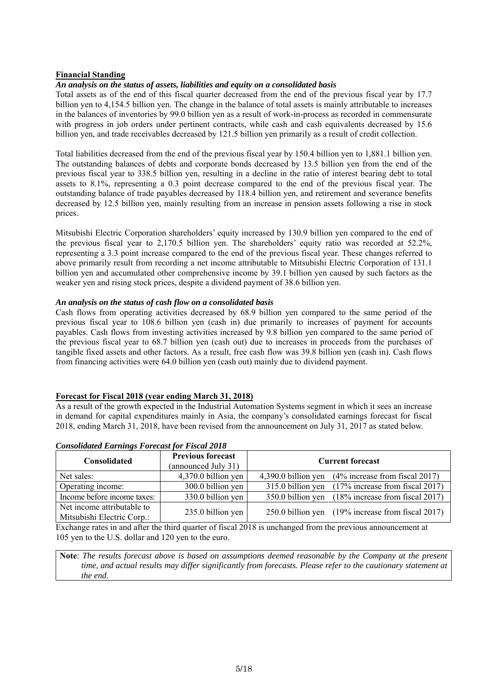### **Financial Standing**

### *An analysis on the status of assets, liabilities and equity on a consolidated basis*

Total assets as of the end of this fiscal quarter decreased from the end of the previous fiscal year by 17.7 billion yen to 4,154.5 billion yen. The change in the balance of total assets is mainly attributable to increases in the balances of inventories by 99.0 billion yen as a result of work-in-process as recorded in commensurate with progress in job orders under pertinent contracts, while cash and cash equivalents decreased by 15.6 billion yen, and trade receivables decreased by 121.5 billion yen primarily as a result of credit collection.

Total liabilities decreased from the end of the previous fiscal year by 150.4 billion yen to 1,881.1 billion yen. The outstanding balances of debts and corporate bonds decreased by 13.5 billion yen from the end of the previous fiscal year to 338.5 billion yen, resulting in a decline in the ratio of interest bearing debt to total assets to 8.1%, representing a 0.3 point decrease compared to the end of the previous fiscal year. The outstanding balance of trade payables decreased by 118.4 billion yen, and retirement and severance benefits decreased by 12.5 billion yen, mainly resulting from an increase in pension assets following a rise in stock prices.

Mitsubishi Electric Corporation shareholders' equity increased by 130.9 billion yen compared to the end of the previous fiscal year to 2,170.5 billion yen. The shareholders' equity ratio was recorded at 52.2%, representing a 3.3 point increase compared to the end of the previous fiscal year. These changes referred to above primarily result from recording a net income attributable to Mitsubishi Electric Corporation of 131.1 billion yen and accumulated other comprehensive income by 39.1 billion yen caused by such factors as the weaker yen and rising stock prices, despite a dividend payment of 38.6 billion yen.

### *An analysis on the status of cash flow on a consolidated basis*

Cash flows from operating activities decreased by 68.9 billion yen compared to the same period of the previous fiscal year to 108.6 billion yen (cash in) due primarily to increases of payment for accounts payables. Cash flows from investing activities increased by 9.8 billion yen compared to the same period of the previous fiscal year to 68.7 billion yen (cash out) due to increases in proceeds from the purchases of tangible fixed assets and other factors. As a result, free cash flow was 39.8 billion yen (cash in). Cash flows from financing activities were 64.0 billion yen (cash out) mainly due to dividend payment.

### **Forecast for Fiscal 2018 (year ending March 31, 2018)**

As a result of the growth expected in the Industrial Automation Systems segment in which it sees an increase in demand for capital expenditures mainly in Asia, the company's consolidated earnings forecast for fiscal 2018, ending March 31, 2018, have been revised from the announcement on July 31, 2017 as stated below.

| Consolidated                                             | <b>Previous forecast</b><br>(announced July 31) | <b>Current forecast</b>                            |
|----------------------------------------------------------|-------------------------------------------------|----------------------------------------------------|
| Net sales:                                               | 4,370.0 billion yen                             | 4,390.0 billion yen (4% increase from fiscal 2017) |
| Operating income:                                        | 300.0 billion yen                               | 315.0 billion yen (17% increase from fiscal 2017)  |
| Income before income taxes:                              | 330.0 billion yen                               | 350.0 billion yen (18% increase from fiscal 2017)  |
| Net income attributable to<br>Mitsubishi Electric Corp.: | 235.0 billion yen                               | 250.0 billion yen (19% increase from fiscal 2017)  |

### *Consolidated Earnings Forecast for Fiscal 2018*

Exchange rates in and after the third quarter of fiscal 2018 is unchanged from the previous announcement at 105 yen to the U.S. dollar and 120 yen to the euro.

**Note**: *The results forecast above is based on assumptions deemed reasonable by the Company at the present time, and actual results may differ significantly from forecasts. Please refer to the cautionary statement at the end.*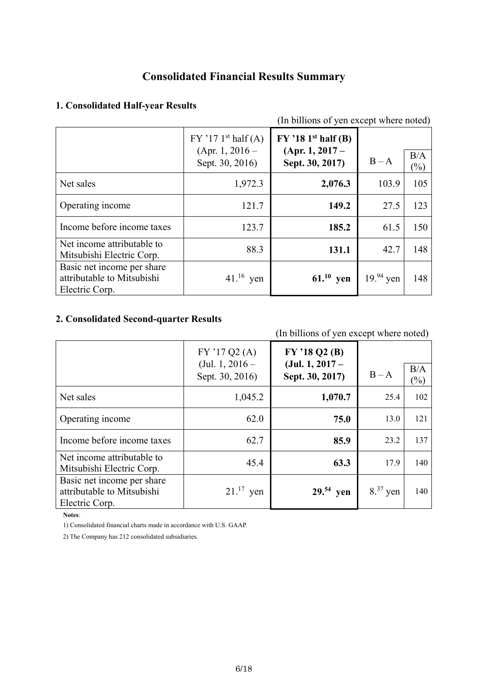# **Consolidated Financial Results Summary**

# **1. Consolidated Half-year Results**

| (In billions of yen except where noted)                                    |                                                                         |                                                               |             |                      |
|----------------------------------------------------------------------------|-------------------------------------------------------------------------|---------------------------------------------------------------|-------------|----------------------|
|                                                                            | $FY$ '17 1 <sup>st</sup> half (A)<br>(Apr. 1, 2016 –<br>Sept. 30, 2016) | $FY$ '18 1st half (B)<br>$(Apr. 1, 2017 -$<br>Sept. 30, 2017) | $B - A$     | B/A<br>$\frac{1}{2}$ |
| Net sales                                                                  | 1,972.3                                                                 | 2,076.3                                                       | 103.9       | 105                  |
| Operating income                                                           | 121.7                                                                   | 149.2                                                         | 27.5        | 123                  |
| Income before income taxes                                                 | 123.7                                                                   | 185.2                                                         | 61.5        | 150                  |
| Net income attributable to<br>Mitsubishi Electric Corp.                    | 88.3                                                                    | 131.1                                                         | 42.7        | 148                  |
| Basic net income per share<br>attributable to Mitsubishi<br>Electric Corp. | $41.^{16}$ yen                                                          | $61.^{10}$ yen                                                | $19.94$ yen | 148                  |

# **2. Consolidated Second-quarter Results**

# (In billions of yen except where noted)

|                                                                            | FY'17Q2(A)<br>(Jul. 1, $2016-$<br>Sept. 30, 2016) | FY '18 Q2 (B)<br>$(Jul. 1, 2017 -$<br>Sept. 30, 2017) | $B - A$      | B/A<br>$\frac{1}{2}$ |
|----------------------------------------------------------------------------|---------------------------------------------------|-------------------------------------------------------|--------------|----------------------|
| Net sales                                                                  | 1,045.2                                           | 1,070.7                                               | 25.4         | 102                  |
| Operating income                                                           | 62.0                                              | 75.0                                                  | 13.0         | 121                  |
| Income before income taxes                                                 | 62.7                                              | 85.9                                                  | 23.2         | 137                  |
| Net income attributable to<br>Mitsubishi Electric Corp.                    | 45.4                                              | 63.3                                                  | 17.9         | 140                  |
| Basic net income per share<br>attributable to Mitsubishi<br>Electric Corp. | $21.^{17}$ yen                                    | $29.54$ yen                                           | $8^{37}$ yen | 140                  |

**Notes**:

1) Consolidated financial charts made in accordance with U.S. GAAP.

2) The Company has 212 consolidated subsidiaries.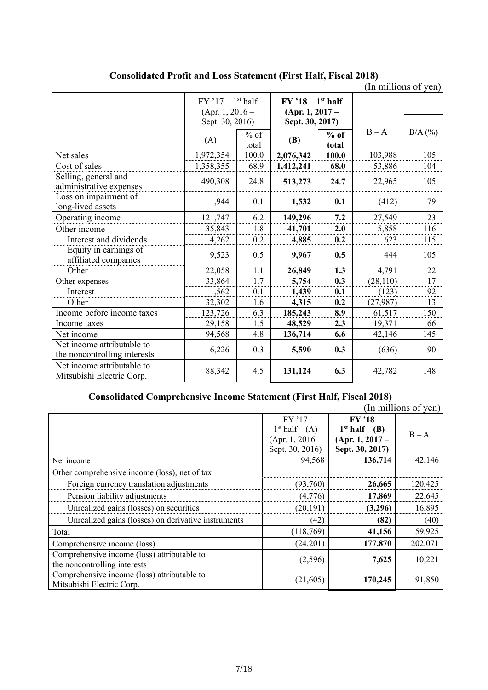**Consolidated Profit and Loss Statement (First Half, Fiscal 2018)** 

|                                                            |                                           |                 |                                                |                 | (In millions of yen) |           |
|------------------------------------------------------------|-------------------------------------------|-----------------|------------------------------------------------|-----------------|----------------------|-----------|
|                                                            | $1st$ half<br>$FY'$ 17<br>(Apr. 1, 2016 – |                 | $1st$ half<br><b>FY '18</b><br>(Apr. 1, 2017 – |                 |                      |           |
|                                                            | Sept. 30, 2016)                           |                 | Sept. 30, 2017)                                |                 |                      |           |
|                                                            | (A)                                       | $%$ of<br>total | <b>(B)</b>                                     | $%$ of<br>total | $B - A$              | $B/A$ (%) |
| Net sales                                                  | 1,972,354                                 | 100.0           | 2,076,342                                      | 100.0           | 103,988              | 105       |
| Cost of sales                                              | 1,358,355                                 | 68.9            | 1,412,241                                      | 68.0            | 53,886               | 104       |
| Selling, general and<br>administrative expenses            | 490,308                                   | 24.8            | 513,273                                        | 24.7            | 22,965               | 105       |
| Loss on impairment of<br>long-lived assets                 | 1,944                                     | 0.1             | 1,532                                          | 0.1             | (412)                | 79        |
| Operating income                                           | 121,747                                   | 6.2             | 149,296                                        | 7.2             | 27,549               | 123       |
| Other income                                               | 35,843                                    | 1.8             | 41,701                                         | 2.0             | 5,858                | 116       |
| Interest and dividends                                     | 4,262                                     | 0.2             | 4,885                                          | 0.2             | 623                  | 115       |
| Equity in earnings of<br>affiliated companies              | 9,523                                     | 0.5             | 9,967                                          | 0.5             | 444                  | 105       |
| Other                                                      | 22,058                                    | 1.1             | 26,849                                         | 1.3             | 4,791                | 122       |
| Other expenses                                             | 33,864                                    | 1.7             | 5,754                                          | 0.3             | (28, 110)            | 17        |
| Interest                                                   | 1,562                                     | 0.1             | 1,439                                          | 0.1             | (123)                | 92        |
| Other                                                      | 32,302                                    | 1.6             | 4,315                                          | 0.2             | (27, 987)            | 13        |
| Income before income taxes                                 | 123,726                                   | 6.3             | 185,243                                        | 8.9             | 61,517               | 150       |
| Income taxes                                               | 29,158                                    | 1.5             | 48,529                                         | 2.3             | 19,371               | 166       |
| Net income                                                 | 94,568                                    | 4.8             | 136,714                                        | 6.6             | 42,146               | 145       |
| Net income attributable to<br>the noncontrolling interests | 6,226                                     | 0.3             | 5,590                                          | 0.3             | (636)                | 90        |
| Net income attributable to<br>Mitsubishi Electric Corp.    | 88,342                                    | 4.5             | 131,124                                        | 6.3             | 42,782               | 148       |

# **Consolidated Comprehensive Income Statement (First Half, Fiscal 2018)**

|                                                     |                          |                          | (In millions of yen) |
|-----------------------------------------------------|--------------------------|--------------------------|----------------------|
|                                                     | $FY'$ 17                 | $FY'$ 18                 |                      |
|                                                     | 1 <sup>st</sup> half (A) | 1 <sup>st</sup> half (B) | $B - A$              |
|                                                     | (Apr. 1, 2016 –          | $(Apr. 1, 2017 -$        |                      |
|                                                     | Sept. 30, 2016)          | Sept. 30, 2017)          |                      |
| Net income                                          | 94,568                   | 136,714                  | 42,146               |
| Other comprehensive income (loss), net of tax       |                          |                          |                      |
| Foreign currency translation adjustments            | (93,760)                 | 26,665                   | 120,425              |
| Pension liability adjustments                       | (4,776)                  | 17,869                   | 22,645               |
| Unrealized gains (losses) on securities             | (20, 191)                | (3,296)                  | 16,895               |
| Unrealized gains (losses) on derivative instruments | (42)                     | (82)                     | (40)                 |
| Total                                               | (118,769)                | 41,156                   | 159,925              |
| Comprehensive income (loss)                         | (24,201)                 | 177,870                  | 202,071              |
| Comprehensive income (loss) attributable to         | (2,596)                  | 7,625                    | 10,221               |
| the noncontrolling interests                        |                          |                          |                      |
| Comprehensive income (loss) attributable to         | (21,605)                 | 170,245                  | 191,850              |
| Mitsubishi Electric Corp.                           |                          |                          |                      |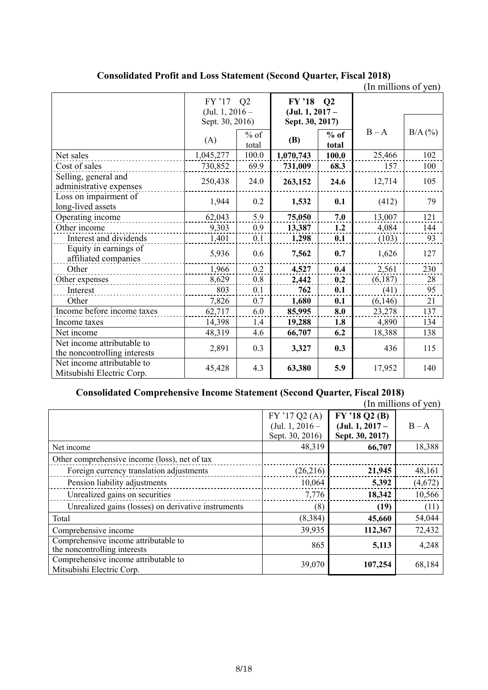|                                                            |                                     |        |                                            |        | (In millions of yen) |           |
|------------------------------------------------------------|-------------------------------------|--------|--------------------------------------------|--------|----------------------|-----------|
|                                                            | $FY'$ 17<br>Q2<br>(Jul. 1, $2016 -$ |        | $FY'$ '18<br>$\bf Q2$<br>$(Jul. 1, 2017 -$ |        |                      |           |
|                                                            | Sept. 30, 2016)                     | $%$ of | Sept. 30, 2017)                            | $%$ of | $B - A$              | $B/A$ (%) |
|                                                            | (A)                                 | total  | <b>(B)</b>                                 | total  |                      |           |
| Net sales                                                  | 1,045,277                           | 100.0  | 1,070,743                                  | 100.0  | 25,466               | 102       |
| Cost of sales                                              | 730,852                             | 69.9   | 731,009                                    | 68.3   | 157                  | 100       |
| Selling, general and<br>administrative expenses            | 250,438                             | 24.0   | 263,152                                    | 24.6   | 12,714               | 105       |
| Loss on impairment of<br>long-lived assets                 | 1,944                               | 0.2    | 1,532                                      | 0.1    | (412)                | 79        |
| Operating income                                           | 62,043                              | 5.9    | 75,050                                     | 7.0    | 13,007               | 121       |
| Other income                                               | 9,303                               | 0.9    | 13,387                                     | 1.2    | 4,084                | 144       |
| Interest and dividends                                     | 1,401                               | 0.1    | 1,298                                      | 0.1    | (103)                | 93        |
| Equity in earnings of<br>affiliated companies              | 5,936                               | 0.6    | 7,562                                      | 0.7    | 1,626                | 127       |
| Other                                                      | 1,966                               | 0.2    | 4,527                                      | 0.4    | 2,561                | 230       |
| Other expenses                                             | 8,629                               | 0.8    | 2,442                                      | 0.2    | (6,187)              | 28        |
| Interest                                                   | 803                                 | 0.1    | 762                                        | 0.1    | (41)                 | 95        |
| Other                                                      | 7,826                               | 0.7    | 1,680                                      | 0.1    | (6,146)              | 21        |
| Income before income taxes                                 | 62,717                              | 6.0    | 85,995                                     | 8.0    | 23,278               | 137       |
| Income taxes                                               | 14,398                              | 1.4    | 19,288                                     | 1.8    | 4,890                | 134       |
| Net income                                                 | 48,319                              | 4.6    | 66,707                                     | 6.2    | 18,388               | 138       |
| Net income attributable to<br>the noncontrolling interests | 2,891                               | 0.3    | 3,327                                      | 0.3    | 436                  | 115       |
| Net income attributable to<br>Mitsubishi Electric Corp.    | 45,428                              | 4.3    | 63,380                                     | 5.9    | 17,952               | 140       |

**Consolidated Profit and Loss Statement (Second Quarter, Fiscal 2018)** 

# **Consolidated Comprehensive Income Statement (Second Quarter, Fiscal 2018)**

|                                                                      |                   |                   | THE THILLIONS OF ACH |
|----------------------------------------------------------------------|-------------------|-------------------|----------------------|
|                                                                      | FY'17Q2(A)        | FY'18Q2(B)        |                      |
|                                                                      | (Jul. 1, $2016 -$ | $(Jul. 1, 2017 -$ | $B - A$              |
|                                                                      | Sept. 30, 2016)   | Sept. 30, 2017)   |                      |
| Net income                                                           | 48,319            | 66,707            | 18,388               |
| Other comprehensive income (loss), net of tax                        |                   |                   |                      |
| Foreign currency translation adjustments                             | (26,216)          | 21,945            | 48,161               |
| Pension liability adjustments                                        | 10,064            | 5,392             | (4,672)              |
| Unrealized gains on securities                                       | 7,776             | 18,342            | 10,566               |
| Unrealized gains (losses) on derivative instruments                  | (8)               | (19)              | (11)                 |
| Total                                                                | (8, 384)          | 45,660            | 54,044               |
| Comprehensive income                                                 | 39,935            | 112,367           | 72,432               |
| Comprehensive income attributable to<br>the noncontrolling interests | 865               | 5,113             | 4,248                |
| Comprehensive income attributable to<br>Mitsubishi Electric Corp.    | 39,070            | 107,254           | 68,184               |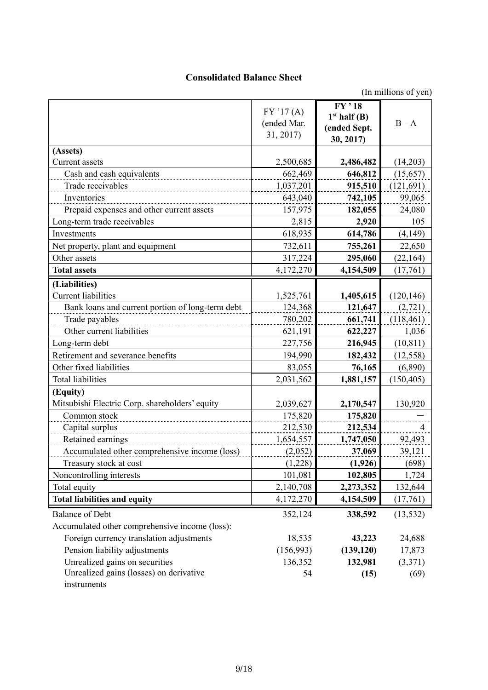# **Consolidated Balance Sheet**

|                                                        | FY'17(A)<br>(ended Mar.<br>31, 2017) | $FY$ , 18<br>1 <sup>st</sup> half (B)<br>(ended Sept.<br>30, 2017) | $B - A$        |
|--------------------------------------------------------|--------------------------------------|--------------------------------------------------------------------|----------------|
| (Assets)                                               |                                      |                                                                    |                |
| Current assets                                         | 2,500,685                            | 2,486,482                                                          | (14,203)       |
| Cash and cash equivalents                              | 662,469                              | 646,812                                                            | (15, 657)      |
| Trade receivables                                      | 1,037,201                            | 915,510                                                            | (121, 691)     |
| Inventories                                            | 643,040                              | 742,105                                                            | 99,065         |
| Prepaid expenses and other current assets              | 157,975                              | 182,055                                                            | 24,080         |
| Long-term trade receivables                            | 2,815                                | 2,920                                                              | 105            |
| Investments                                            | 618,935                              | 614,786                                                            | (4,149)        |
| Net property, plant and equipment                      | 732,611                              | 755,261                                                            | 22,650         |
| Other assets                                           | 317,224                              | 295,060                                                            | (22, 164)      |
| <b>Total assets</b>                                    | 4,172,270                            | 4,154,509                                                          | (17,761)       |
| (Liabilities)                                          |                                      |                                                                    |                |
| <b>Current liabilities</b>                             | 1,525,761                            | 1,405,615                                                          | (120, 146)     |
| Bank loans and current portion of long-term debt       | 124,368                              | 121,647                                                            | (2,721)        |
| Trade payables                                         | 780,202                              | 661,741                                                            | (118, 461)     |
| Other current liabilities                              | 621,191                              | 622,227                                                            | 1,036          |
| Long-term debt                                         | 227,756                              | 216,945                                                            | (10, 811)      |
| Retirement and severance benefits                      | 194,990                              | 182,432                                                            | (12, 558)      |
| Other fixed liabilities                                | 83,055                               | 76,165                                                             | (6,890)        |
| <b>Total liabilities</b>                               | 2,031,562                            | 1,881,157                                                          | (150, 405)     |
| (Equity)                                               |                                      |                                                                    |                |
| Mitsubishi Electric Corp. shareholders' equity         | 2,039,627                            | 2,170,547                                                          | 130,920        |
| Common stock                                           | 175,820                              | 175,820                                                            |                |
| Capital surplus                                        | 212,530                              | 212,534                                                            | $\overline{4}$ |
| Retained earnings                                      | 1,654,557                            | 1,747,050                                                          | 92,493         |
| Accumulated other comprehensive income (loss)          | (2,052)                              | 37,069                                                             | 39,121         |
| Treasury stock at cost                                 | (1,228)                              | (1,926)                                                            | (698)          |
| Noncontrolling interests                               | 101,081                              | 102,805                                                            | 1,724          |
| Total equity                                           | 2,140,708                            | 2,273,352                                                          | 132,644        |
| <b>Total liabilities and equity</b>                    | 4,172,270                            | 4,154,509                                                          | (17,761)       |
| <b>Balance of Debt</b>                                 | 352,124                              | 338,592                                                            | (13, 532)      |
| Accumulated other comprehensive income (loss):         |                                      |                                                                    |                |
| Foreign currency translation adjustments               | 18,535                               | 43,223                                                             | 24,688         |
| Pension liability adjustments                          | (156,993)                            | (139, 120)                                                         | 17,873         |
| Unrealized gains on securities                         | 136,352                              | 132,981                                                            | (3,371)        |
| Unrealized gains (losses) on derivative<br>instruments | 54                                   | (15)                                                               | (69)           |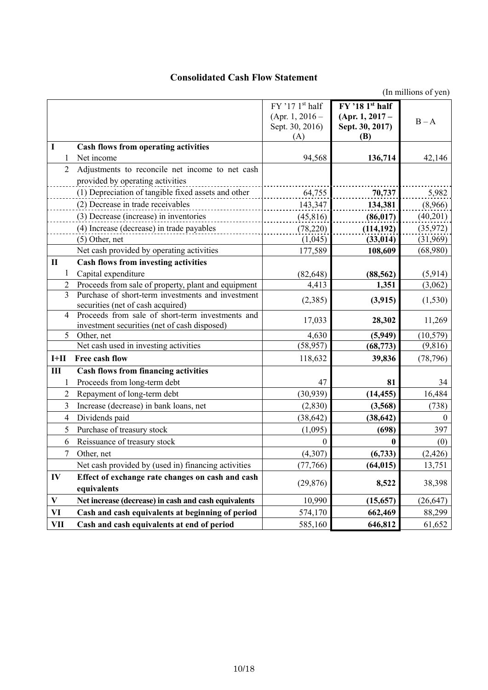# **Consolidated Cash Flow Statement**

|                |                                                            | $FY$ '17 $1st$ half<br>(Apr. 1, 2016 –<br>Sept. 30, 2016)<br>(A) | $FY$ '18 1st half<br>$(Apr. 1, 2017 -$<br>Sept. 30, 2017)<br>(B) | $B - A$   |
|----------------|------------------------------------------------------------|------------------------------------------------------------------|------------------------------------------------------------------|-----------|
| I              | <b>Cash flows from operating activities</b>                |                                                                  |                                                                  |           |
| -1             | Net income                                                 | 94,568                                                           | 136,714                                                          | 42,146    |
| 2              | Adjustments to reconcile net income to net cash            |                                                                  |                                                                  |           |
|                | provided by operating activities                           |                                                                  |                                                                  |           |
|                | (1) Depreciation of tangible fixed assets and other        | 64,755                                                           | 70,737                                                           | 5,982     |
|                | (2) Decrease in trade receivables                          | 143,347                                                          | 134,381                                                          | (8,966)   |
|                | (3) Decrease (increase) in inventories                     | (45, 816)                                                        | (86, 017)                                                        | (40,201)  |
|                | (4) Increase (decrease) in trade payables                  | (78, 220)                                                        | (114, 192)                                                       | (35, 972) |
|                | $(5)$ Other, net                                           | (1,045)                                                          | (33, 014)                                                        | (31,969)  |
|                | Net cash provided by operating activities                  | 177,589                                                          | 108,609                                                          | (68,980)  |
| $\mathbf{I}$   | <b>Cash flows from investing activities</b>                |                                                                  |                                                                  |           |
| 1              | Capital expenditure                                        | (82, 648)                                                        | (88, 562)                                                        | (5,914)   |
| 2              | Proceeds from sale of property, plant and equipment        | 4,413                                                            | 1,351                                                            | (3,062)   |
| 3              | Purchase of short-term investments and investment          | (2,385)                                                          | (3, 915)                                                         | (1, 530)  |
|                | securities (net of cash acquired)                          |                                                                  |                                                                  |           |
| 4              | Proceeds from sale of short-term investments and           | 17,033                                                           | 28,302                                                           | 11,269    |
| 5              | investment securities (net of cash disposed)<br>Other, net | 4,630                                                            |                                                                  | (10, 579) |
|                | Net cash used in investing activities                      | (58, 957)                                                        | (5,949)<br>(68, 773)                                             | (9,816)   |
| $I+II$         | Free cash flow                                             | 118,632                                                          | 39,836                                                           | (78, 796) |
|                |                                                            |                                                                  |                                                                  |           |
| $\mathbf{III}$ | <b>Cash flows from financing activities</b>                | 47                                                               | 81                                                               | 34        |
|                | Proceeds from long-term debt                               |                                                                  |                                                                  |           |
| 2              | Repayment of long-term debt                                | (30, 939)                                                        | (14, 455)                                                        | 16,484    |
| 3              | Increase (decrease) in bank loans, net                     | (2, 830)                                                         | (3,568)                                                          | (738)     |
| 4              | Dividends paid                                             | (38, 642)                                                        | (38, 642)                                                        | $\Omega$  |
| 5              | Purchase of treasury stock                                 | (1,095)                                                          | (698)                                                            | 397       |
| 6              | Reissuance of treasury stock                               | $\theta$                                                         | 0                                                                | (0)       |
| $\tau$         | Other, net                                                 | (4, 307)                                                         | (6,733)                                                          | (2, 426)  |
|                | Net cash provided by (used in) financing activities        | (77, 766)                                                        | (64, 015)                                                        | 13,751    |
| IV             | Effect of exchange rate changes on cash and cash           | (29, 876)                                                        | 8,522                                                            | 38,398    |
|                | equivalents                                                |                                                                  |                                                                  |           |
| $\mathbf{V}$   | Net increase (decrease) in cash and cash equivalents       | 10,990                                                           | (15, 657)                                                        | (26, 647) |
| VI             | Cash and cash equivalents at beginning of period           | 574,170                                                          | 662,469                                                          | 88,299    |
| <b>VII</b>     | Cash and cash equivalents at end of period                 | 585,160                                                          | 646,812                                                          | 61,652    |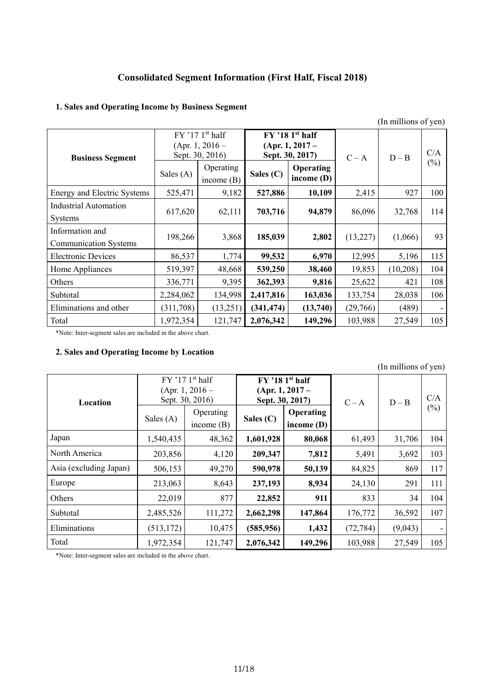# **Consolidated Segment Information (First Half, Fiscal 2018)**

# **1. Sales and Operating Income by Business Segment**

|                                                 | (In millions of yen) |                                                                       |            |                                                           |          |          |               |
|-------------------------------------------------|----------------------|-----------------------------------------------------------------------|------------|-----------------------------------------------------------|----------|----------|---------------|
| <b>Business Segment</b>                         |                      | $FY$ '17 1 <sup>st</sup> half<br>$(Apr. 1, 2016 -$<br>Sept. 30, 2016) |            | $FY$ '18 1st half<br>$(Apr. 1, 2017 -$<br>Sept. 30, 2017) | $C - A$  | $D - B$  | C/A<br>$(\%)$ |
|                                                 | Sales (A)            | Operating<br>income $(B)$                                             | Sales (C)  | <b>Operating</b><br>income $(D)$                          |          |          |               |
| Energy and Electric Systems                     | 525,471              | 9,182                                                                 | 527,886    | 10,109                                                    | 2,415    | 927      | 100           |
| <b>Industrial Automation</b><br>Systems         | 617,620              | 62,111                                                                | 703,716    | 94,879                                                    | 86,096   | 32,768   | 114           |
| Information and<br><b>Communication Systems</b> | 198,266              | 3,868                                                                 | 185,039    | 2,802                                                     | (13,227) | (1,066)  | 93            |
| <b>Electronic Devices</b>                       | 86,537               | 1,774                                                                 | 99,532     | 6,970                                                     | 12,995   | 5,196    | 115           |
| Home Appliances                                 | 519,397              | 48,668                                                                | 539,250    | 38,460                                                    | 19,853   | (10,208) | 104           |
| Others                                          | 336,771              | 9,395                                                                 | 362,393    | 9,816                                                     | 25,622   | 421      | 108           |
| Subtotal                                        | 2,284,062            | 134,998                                                               | 2,417,816  | 163,036                                                   | 133,754  | 28,038   | 106           |
| Eliminations and other                          | (311,708)            | (13,251)                                                              | (341, 474) | (13,740)                                                  | (29,766) | (489)    |               |
| Total                                           | 1,972,354            | 121,747                                                               | 2,076,342  | 149,296                                                   | 103,988  | 27,549   | 105           |

\*Note: Inter-segment sales are included in the above chart.

# **2. Sales and Operating Income by Location**

|                        |                                                                                                                        |                           |             |                                  |           | (In millions of yen) |        |
|------------------------|------------------------------------------------------------------------------------------------------------------------|---------------------------|-------------|----------------------------------|-----------|----------------------|--------|
| Location               | $FY$ '17 1st half<br>$FY$ '18 1st half<br>$(Apr. 1, 2016 -$<br>$(Apr. 1, 2017 -$<br>Sept. 30, 2016)<br>Sept. 30, 2017) |                           |             |                                  | $C - A$   | $D - B$              | C/A    |
|                        | Sales $(A)$                                                                                                            | Operating<br>income $(B)$ | Sales $(C)$ | <b>Operating</b><br>income $(D)$ |           |                      | $(\%)$ |
| Japan                  | 1,540,435                                                                                                              | 48,362                    | 1,601,928   | 80,068                           | 61,493    | 31,706               | 104    |
| North America          | 203,856                                                                                                                | 4,120                     | 209,347     | 7,812                            | 5,491     | 3,692                | 103    |
| Asia (excluding Japan) | 506,153                                                                                                                | 49,270                    | 590,978     | 50,139                           | 84,825    | 869                  | 117    |
| Europe                 | 213,063                                                                                                                | 8,643                     | 237,193     | 8,934                            | 24,130    | 291                  | 111    |
| Others                 | 22,019                                                                                                                 | 877                       | 22,852      | 911                              | 833       | 34                   | 104    |
| Subtotal               | 2,485,526                                                                                                              | 111,272                   | 2,662,298   | 147,864                          | 176,772   | 36,592               | 107    |
| Eliminations           | (513, 172)                                                                                                             | 10,475                    | (585, 956)  | 1,432                            | (72, 784) | (9,043)              |        |
| Total                  | 1,972,354                                                                                                              | 121,747                   | 2,076,342   | 149,296                          | 103,988   | 27,549               | 105    |

\*Note: Inter-segment sales are included in the above chart.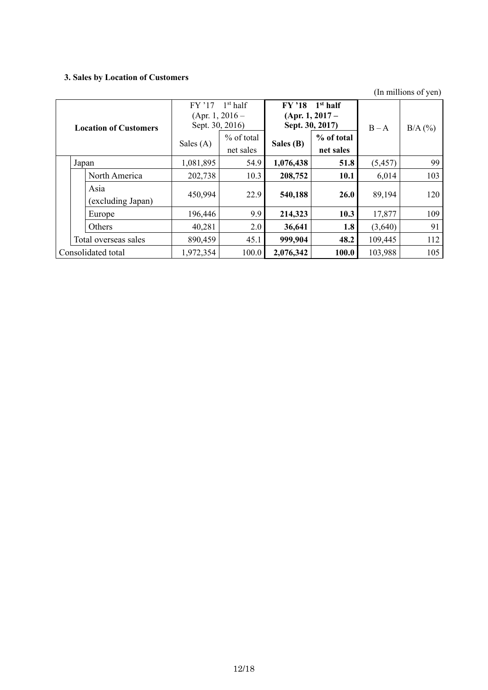# **3. Sales by Location of Customers**

|       | <b>Location of Customers</b> | $FY'$ 17<br>(Apr. 1, 2016 –<br>Sept. 30, 2016)<br>Sales $(A)$ | $1st$ half<br>% of total<br>net sales | $FY'$ 18<br>Sept. 30, 2017)<br>Sales (B) | $1st$ half<br>$(Apr. 1, 2017 -$<br>% of total<br>net sales | $B - A$  | $B/A$ (%) |
|-------|------------------------------|---------------------------------------------------------------|---------------------------------------|------------------------------------------|------------------------------------------------------------|----------|-----------|
| Japan |                              | 1,081,895                                                     | 54.9                                  | 1,076,438                                | 51.8                                                       | (5, 457) | 99        |
|       | North America                | 202,738                                                       | 10.3                                  | 208,752                                  | 10.1                                                       | 6,014    | 103       |
|       | Asia<br>(excluding Japan)    | 450,994                                                       | 22.9                                  | 540,188                                  | <b>26.0</b>                                                | 89,194   | 120       |
|       | Europe                       | 196,446                                                       | 9.9                                   | 214,323                                  | 10.3                                                       | 17,877   | 109       |
|       | Others                       | 40,281                                                        | 2.0                                   | 36,641                                   | 1.8                                                        | (3,640)  | 91        |
|       | Total overseas sales         | 890,459                                                       | 45.1                                  | 999,904                                  | 48.2                                                       | 109,445  | 112       |
|       | Consolidated total           | 1,972,354                                                     | 100.0                                 | 2,076,342                                | 100.0                                                      | 103,988  | 105       |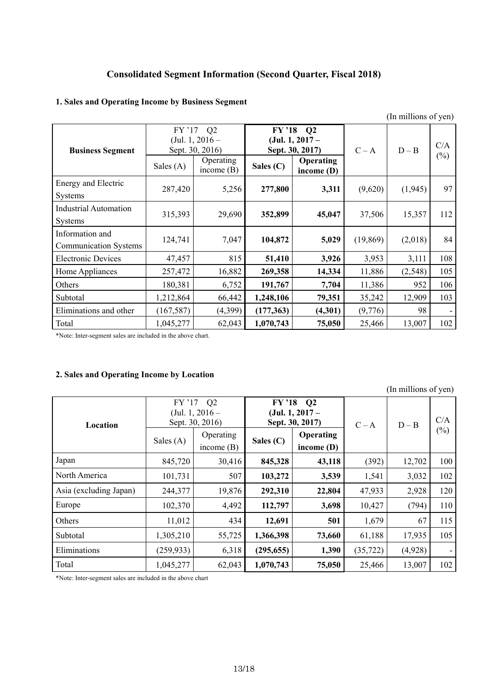# **Consolidated Segment Information (Second Quarter, Fiscal 2018)**

|                                                 |                                                                                                                                                        |              |                         |         |               | (In millions of yen) |     |
|-------------------------------------------------|--------------------------------------------------------------------------------------------------------------------------------------------------------|--------------|-------------------------|---------|---------------|----------------------|-----|
| <b>Business Segment</b>                         | FY '17 Q2<br>$FY'$ '18<br>$\mathbf{Q}$<br>(Jul. 1, $2016-$<br>$(Jul. 1, 2017 -$<br>Sept. 30, 2016)<br>Sept. 30, 2017)<br>Operating<br><b>Operating</b> |              | $C - A$                 | $D - B$ | C/A<br>$(\%)$ |                      |     |
|                                                 | Sales $(A)$                                                                                                                                            | income $(B)$ | Sales (C)<br>income (D) |         |               |                      |     |
| Energy and Electric<br>Systems                  | 287,420                                                                                                                                                | 5,256        | 277,800                 | 3,311   | (9,620)       | (1,945)              | 97  |
| <b>Industrial Automation</b><br>Systems         | 315,393                                                                                                                                                | 29,690       | 352,899                 | 45,047  | 37,506        | 15,357               | 112 |
| Information and<br><b>Communication Systems</b> | 124,741                                                                                                                                                | 7,047        | 104,872                 | 5,029   | (19, 869)     | (2,018)              | 84  |
| <b>Electronic Devices</b>                       | 47,457                                                                                                                                                 | 815          | 51,410                  | 3,926   | 3,953         | 3,111                | 108 |
| Home Appliances                                 | 257,472                                                                                                                                                | 16,882       | 269,358                 | 14,334  | 11,886        | (2, 548)             | 105 |
| Others                                          | 180,381                                                                                                                                                | 6,752        | 191,767                 | 7,704   | 11,386        | 952                  | 106 |
| Subtotal                                        | 1,212,864                                                                                                                                              | 66,442       | 1,248,106               | 79,351  | 35,242        | 12,909               | 103 |
| Eliminations and other                          | (167, 587)                                                                                                                                             | (4,399)      | (177, 363)              | (4,301) | (9,776)       | 98                   |     |
| Total                                           | 1,045,277                                                                                                                                              | 62,043       | 1,070,743               | 75,050  | 25,466        | 13,007               | 102 |

# **1. Sales and Operating Income by Business Segment**

\*Note: Inter-segment sales are included in the above chart.

# **2. Sales and Operating Income by Location**

|                        |                                                                   |                           |                                        |                                                      |           | (In millions of yen) |        |
|------------------------|-------------------------------------------------------------------|---------------------------|----------------------------------------|------------------------------------------------------|-----------|----------------------|--------|
| Location               | Q <sub>2</sub><br>$FY'$ 17<br>(Jul. 1, $2016-$<br>Sept. 30, 2016) |                           | <b>FY '18</b>                          | $\mathbf{Q}$<br>$(Jul. 1, 2017 -$<br>Sept. 30, 2017) | $C - A$   | $D - B$              | C/A    |
|                        | Sales $(A)$                                                       | Operating<br>income $(B)$ | Operating<br>Sales (C)<br>income $(D)$ |                                                      |           |                      | $(\%)$ |
| Japan                  | 845,720                                                           | 30,416                    | 845,328                                | 43,118                                               | (392)     | 12,702               | 100    |
| North America          | 101,731                                                           | 507                       | 103,272                                | 3,539                                                | 1,541     | 3,032                | 102    |
| Asia (excluding Japan) | 244,377                                                           | 19,876                    | 292,310                                | 22,804                                               | 47,933    | 2,928                | 120    |
| Europe                 | 102,370                                                           | 4,492                     | 112,797                                | 3,698                                                | 10,427    | (794)                | 110    |
| Others                 | 11,012                                                            | 434                       | 12,691                                 | 501                                                  | 1,679     | 67                   | 115    |
| Subtotal               | 1,305,210                                                         | 55,725                    | 1,366,398                              | 73,660                                               | 61,188    | 17,935               | 105    |
| Eliminations           | (259, 933)                                                        | 6,318                     | (295, 655)                             | 1,390                                                | (35, 722) | (4,928)              |        |
| Total                  | 1,045,277                                                         | 62,043                    | 1,070,743                              | 75,050                                               | 25,466    | 13,007               | 102    |

\*Note: Inter-segment sales are included in the above chart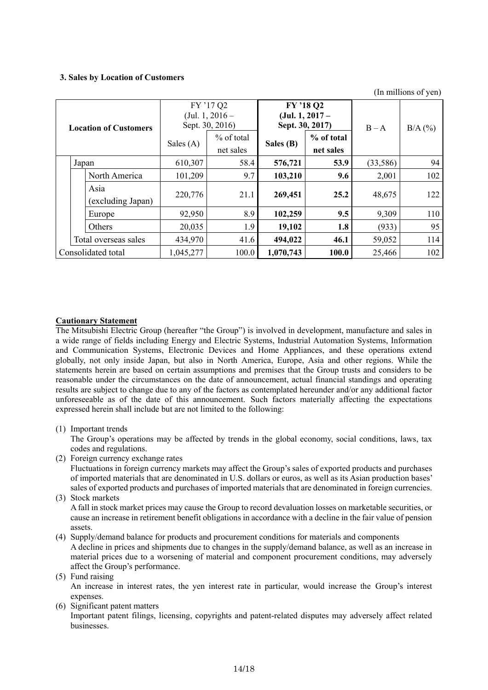### **3. Sales by Location of Customers**

(In millions of yen)

| <b>Location of Customers</b> |                           | FY '17 Q2<br>(Jul. 1, $2016-$<br>Sept. 30, 2016)<br>% of total<br>Sales $(A)$<br>net sales |       | FY '18 Q2<br>$(Jul. 1, 2017 -$<br>Sept. 30, 2017)<br>% of total<br>Sales (B)<br>net sales |       | $B - A$   | $B/A$ (%) |
|------------------------------|---------------------------|--------------------------------------------------------------------------------------------|-------|-------------------------------------------------------------------------------------------|-------|-----------|-----------|
| Japan                        |                           | 610,307                                                                                    | 58.4  | 576,721                                                                                   | 53.9  | (33, 586) | 94        |
|                              | North America             | 101,209                                                                                    | 9.7   | 103,210                                                                                   | 9.6   | 2,001     | 102       |
|                              | Asia<br>(excluding Japan) | 220,776                                                                                    | 21.1  | 269,451                                                                                   | 25.2  | 48,675    | 122       |
|                              | Europe                    | 92,950                                                                                     | 8.9   | 102,259                                                                                   | 9.5   | 9,309     | 110       |
|                              | Others                    | 20,035                                                                                     | 1.9   | 19,102                                                                                    | 1.8   | (933)     | 95        |
|                              | Total overseas sales      | 434,970                                                                                    | 41.6  | 494,022                                                                                   | 46.1  | 59,052    | 114       |
|                              | Consolidated total        | 1,045,277                                                                                  | 100.0 | 1,070,743                                                                                 | 100.0 | 25,466    | 102       |

### **Cautionary Statement**

The Mitsubishi Electric Group (hereafter "the Group") is involved in development, manufacture and sales in a wide range of fields including Energy and Electric Systems, Industrial Automation Systems, Information and Communication Systems, Electronic Devices and Home Appliances, and these operations extend globally, not only inside Japan, but also in North America, Europe, Asia and other regions. While the statements herein are based on certain assumptions and premises that the Group trusts and considers to be reasonable under the circumstances on the date of announcement, actual financial standings and operating results are subject to change due to any of the factors as contemplated hereunder and/or any additional factor unforeseeable as of the date of this announcement. Such factors materially affecting the expectations expressed herein shall include but are not limited to the following:

### (1) Important trends

The Group's operations may be affected by trends in the global economy, social conditions, laws, tax codes and regulations.

(2) Foreign currency exchange rates

Fluctuations in foreign currency markets may affect the Group's sales of exported products and purchases of imported materials that are denominated in U.S. dollars or euros, as well as its Asian production bases' sales of exported products and purchases of imported materials that are denominated in foreign currencies.

(3) Stock markets

A fall in stock market prices may cause the Group to record devaluation losses on marketable securities, or cause an increase in retirement benefit obligations in accordance with a decline in the fair value of pension assets.

(4) Supply/demand balance for products and procurement conditions for materials and components A decline in prices and shipments due to changes in the supply/demand balance, as well as an increase in material prices due to a worsening of material and component procurement conditions, may adversely affect the Group's performance.

(5) Fund raising

An increase in interest rates, the yen interest rate in particular, would increase the Group's interest expenses.

(6) Significant patent matters

Important patent filings, licensing, copyrights and patent-related disputes may adversely affect related businesses.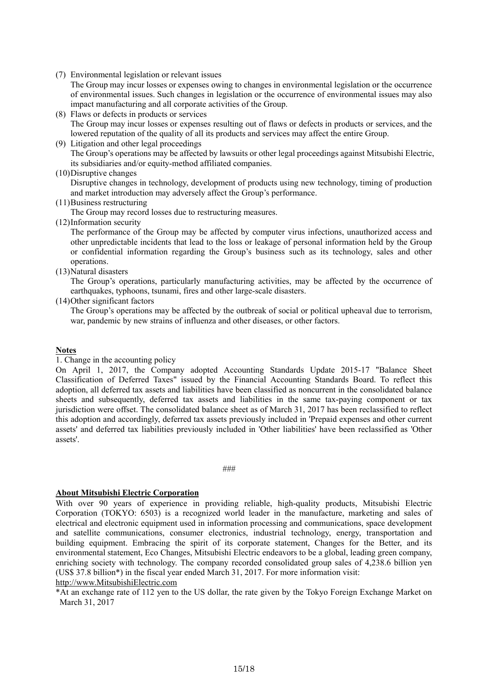(7) Environmental legislation or relevant issues

The Group may incur losses or expenses owing to changes in environmental legislation or the occurrence of environmental issues. Such changes in legislation or the occurrence of environmental issues may also impact manufacturing and all corporate activities of the Group.

- (8) Flaws or defects in products or services The Group may incur losses or expenses resulting out of flaws or defects in products or services, and the lowered reputation of the quality of all its products and services may affect the entire Group.
- (9) Litigation and other legal proceedings The Group's operations may be affected by lawsuits or other legal proceedings against Mitsubishi Electric, its subsidiaries and/or equity-method affiliated companies.
- (10)Disruptive changes

Disruptive changes in technology, development of products using new technology, timing of production and market introduction may adversely affect the Group's performance.

(11)Business restructuring

The Group may record losses due to restructuring measures.

(12)Information security

The performance of the Group may be affected by computer virus infections, unauthorized access and other unpredictable incidents that lead to the loss or leakage of personal information held by the Group or confidential information regarding the Group's business such as its technology, sales and other operations.

(13)Natural disasters

The Group's operations, particularly manufacturing activities, may be affected by the occurrence of earthquakes, typhoons, tsunami, fires and other large-scale disasters.

(14)Other significant factors

The Group's operations may be affected by the outbreak of social or political upheaval due to terrorism, war, pandemic by new strains of influenza and other diseases, or other factors.

### **Notes**

### 1. Change in the accounting policy

On April 1, 2017, the Company adopted Accounting Standards Update 2015-17 "Balance Sheet Classification of Deferred Taxes" issued by the Financial Accounting Standards Board. To reflect this adoption, all deferred tax assets and liabilities have been classified as noncurrent in the consolidated balance sheets and subsequently, deferred tax assets and liabilities in the same tax-paying component or tax jurisdiction were offset. The consolidated balance sheet as of March 31, 2017 has been reclassified to reflect this adoption and accordingly, deferred tax assets previously included in 'Prepaid expenses and other current assets' and deferred tax liabilities previously included in 'Other liabilities' have been reclassified as 'Other assets'.

###

### **About Mitsubishi Electric Corporation**

With over 90 years of experience in providing reliable, high-quality products, Mitsubishi Electric Corporation (TOKYO: 6503) is a recognized world leader in the manufacture, marketing and sales of electrical and electronic equipment used in information processing and communications, space development and satellite communications, consumer electronics, industrial technology, energy, transportation and building equipment. Embracing the spirit of its corporate statement, Changes for the Better, and its environmental statement, Eco Changes, Mitsubishi Electric endeavors to be a global, leading green company, enriching society with technology. The company recorded consolidated group sales of 4,238.6 billion yen (US\$ 37.8 billion\*) in the fiscal year ended March 31, 2017. For more information visit: http://www.MitsubishiElectric.com

\*At an exchange rate of 112 yen to the US dollar, the rate given by the Tokyo Foreign Exchange Market on March 31, 2017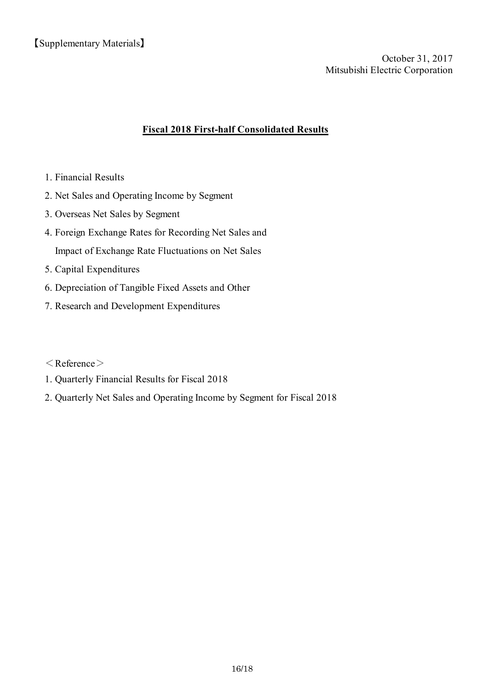【Supplementary Materials】

Mitsubishi Electric Corporation October 31, 2017

# **Fiscal 2018 First-half Consolidated Results**

- 1. Financial Results
- 2. Net Sales and Operating Income by Segment
- 3. Overseas Net Sales by Segment
- 4. Foreign Exchange Rates for Recording Net Sales and Impact of Exchange Rate Fluctuations on Net Sales
- 5. Capital Expenditures
- 6. Depreciation of Tangible Fixed Assets and Other
- 7. Research and Development Expenditures

 $\langle$  Reference $\rangle$ 

- 1. Quarterly Financial Results for Fiscal 2018
- 2. Quarterly Net Sales and Operating Income by Segment for Fiscal 2018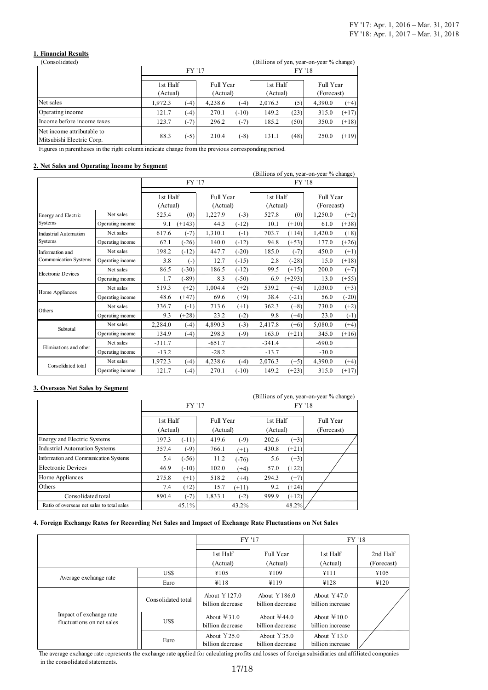### **1. Financial Results**

| Consolidated)                                           | (Billions of yen, year-on-year % change) |                                               |         |                      |         |                         |         |         |
|---------------------------------------------------------|------------------------------------------|-----------------------------------------------|---------|----------------------|---------|-------------------------|---------|---------|
|                                                         |                                          | <b>FY '17</b>                                 |         |                      | FY '18  |                         |         |         |
|                                                         |                                          | 1st Half<br>Full Year<br>(Actual)<br>(Actual) |         | 1st Half<br>(Actual) |         | Full Year<br>(Forecast) |         |         |
| Net sales                                               | 1,972.3                                  | $(-4)$                                        | 4,238.6 | $(-4)$               | 2,076.3 | (5)                     | 4,390.0 | $(+4)$  |
| Operating income                                        | 121.7                                    | $(-4)$                                        | 270.1   | $(-10)$              | 149.2   | (23)                    | 315.0   | $(+17)$ |
| Income before income taxes                              | 123.7                                    | $(-7)$                                        | 296.2   | $(-7)$               | 185.2   | (50)                    | 350.0   | $(+18)$ |
| Net income attributable to<br>Mitsubishi Electric Corp. | 88.3                                     | $(-5)$                                        | 210.4   | $(-8)$               | 131.1   | (48)                    | 250.0   | $(+19)$ |

Figures in parentheses in the right column indicate change from the previous corresponding period.

### **2. Net Sales and Operating Income by Segment**

|                           |                  |                      |              |                       | (Billions of yen, year-on-year % change) |                      |          |                         |         |  |
|---------------------------|------------------|----------------------|--------------|-----------------------|------------------------------------------|----------------------|----------|-------------------------|---------|--|
|                           |                  |                      | FY '17       |                       |                                          |                      | FY '18   |                         |         |  |
|                           |                  | 1st Half<br>(Actual) |              | Full Year<br>(Actual) |                                          | 1st Half<br>(Actual) |          | Full Year<br>(Forecast) |         |  |
| Energy and Electric       | Net sales        | 525.4                | (0)          | 1,227.9               | $(-3)$                                   | 527.8                | (0)      | 1,250.0                 | $(+2)$  |  |
| Systems                   | Operating income | 9.1                  | $(+143)$     | 44.3                  | $(-12)$                                  | 10.1                 | $(+10)$  | 61.0                    | $(+38)$ |  |
| Industrial Automation     | Net sales        | 617.6                | $(-7)$       | 1,310.1               | $(-1)$                                   | 703.7                | $(+14)$  | 1,420.0                 | $(+8)$  |  |
| Systems                   | Operating income | 62.1                 | $(-26)$      | 140.0                 | $(-12)$                                  | 94.8                 | $(+53)$  | 177.0                   | $(+26)$ |  |
| Information and           | Net sales        | 198.2                | $(-12)$      | 447.7                 | $(-20)$                                  | 185.0                | $(-7)$   | 450.0                   | $(+1)$  |  |
| Communication Systems     | Operating income | 3.8                  | $(\text{-})$ | 12.7                  | $(-15)$                                  | 2.8                  | $(-28)$  | 15.0                    | $(+18)$ |  |
| <b>Electronic Devices</b> | Net sales        | 86.5                 | $(-30)$      | 186.5                 | $(-12)$                                  | 99.5                 | $(+15)$  | 200.0                   | $(+7)$  |  |
|                           | Operating income | 1.7                  | $(-89)$      | 8.3                   | $(-50)$                                  | 6.9                  | $(+293)$ | 13.0                    | $(+55)$ |  |
| Home Appliances           | Net sales        | 519.3                | $(+2)$       | 1,004.4               | $(+2)$                                   | 539.2                | $(+4)$   | 1,030.0                 | $(+3)$  |  |
|                           | Operating income | 48.6                 | $(+47)$      | 69.6                  | $(+9)$                                   | 38.4                 | $(-21)$  | 56.0                    | $(-20)$ |  |
| Others                    | Net sales        | 336.7                | $(-1)$       | 713.6                 | $(+1)$                                   | 362.3                | $(+8)$   | 730.0                   | $(+2)$  |  |
|                           | Operating income | 9.3                  | $(+28)$      | 23.2                  | $(-2)$                                   | 9.8                  | $(+4)$   | 23.0                    | $(-1)$  |  |
| Subtotal                  | Net sales        | 2,284.0              | $(-4)$       | 4,890.3               | $(-3)$                                   | 2,417.8              | $(+6)$   | 5,080.0                 | $(+4)$  |  |
|                           | Operating income | 134.9                | $(-4)$       | 298.3                 | $(-9)$                                   | 163.0                | $(+21)$  | 345.0                   | $(+16)$ |  |
| Eliminations and other    | Net sales        | $-311.7$             |              | $-651.7$              |                                          | $-341.4$             |          | $-690.0$                |         |  |
|                           | Operating income | $-13.2$              |              | $-28.2$               |                                          | $-13.7$              |          | $-30.0$                 |         |  |
|                           | Net sales        | 1,972.3              | $(-4)$       | 4,238.6               | $(-4)$                                   | 2,076.3              | $(+5)$   | 4,390.0                 | $(+4)$  |  |
| Consolidated total        | Operating income | 121.7                | $(-4)$       | 270.1                 | $(-10)$                                  | 149.2                | $(+23)$  | 315.0                   | $(+17)$ |  |

#### **3. Overseas Net Sales by Segment**

|                                            |                      |         |                       |         |                      |         | (Billions of yen, year-on-year % change) |
|--------------------------------------------|----------------------|---------|-----------------------|---------|----------------------|---------|------------------------------------------|
|                                            |                      | FY '17  |                       |         | FY '18               |         |                                          |
|                                            | 1st Half<br>(Actual) |         | Full Year<br>(Actual) |         | 1st Half<br>(Actual) |         | Full Year<br>(Forecast)                  |
| Energy and Electric Systems                | 197.3                | $(-11)$ | 419.6                 | $(-9)$  | 202.6                | $(+3)$  |                                          |
| <b>Industrial Automation Systems</b>       | 357.4                | $(-9)$  | 766.1                 | $(+1)$  | 430.8                | $(+21)$ |                                          |
| Information and Communication Systems      | 5.4                  | $(-56)$ | 11.2                  | $(-76)$ | 5.6                  | $(+3)$  |                                          |
| Electronic Devices                         | 46.9                 | $(-10)$ | 102.0                 | $(+4)$  | 57.0                 | $(+22)$ |                                          |
| Home Appliances                            | 275.8                | $(+1)$  | 518.2                 | $(+4)$  | 294.3                | $(+7)$  |                                          |
| Others                                     | 7.4                  | $(+2)$  | 15.7                  | $(+11)$ | 9.2                  | $(+24)$ |                                          |
| Consolidated total                         | 890.4                | $(-7)$  | 1,833.1               | $(-2)$  | 999.9                | $(+12)$ |                                          |
| Ratio of overseas net sales to total sales |                      | 45.1%   |                       | 43.2%   |                      | 48.2%   |                                          |

#### **4. Foreign Exchange Rates for Recording Net Sales and Impact of Exchange Rate Fluctuations on Net Sales**

|                                                      |                    |                                              | FY '17                                            | FY '18                                      |                        |
|------------------------------------------------------|--------------------|----------------------------------------------|---------------------------------------------------|---------------------------------------------|------------------------|
|                                                      |                    | 1st Half<br>(Actual)                         | Full Year<br>(Actual)                             | 1st Half<br>(Actual)                        | 2nd Half<br>(Forecast) |
|                                                      | US\$               | ¥105                                         | ¥109                                              | ¥111                                        | ¥105                   |
| Average exchange rate                                | Euro               | ¥118                                         | ¥119                                              | ¥128                                        | ¥120                   |
|                                                      | Consolidated total | About $\text{\yen}127.0$<br>billion decrease | About $\text{\yen}186.0$<br>billion decrease      | About $\text{\yen}47.0$<br>billion increase |                        |
| Impact of exchange rate<br>fluctuations on net sales | US\$               | About $\text{\yen}31.0$<br>billion decrease  | About $\text{\textless} 44.0$<br>billion decrease | About $\approx 10.0$<br>billion increase    |                        |
|                                                      | Euro               | About $\text{\yen}25.0$<br>billion decrease  | About $\text{\yen}35.0$<br>billion decrease       | About $\text{\yen}13.0$<br>billion increase |                        |

The average exchange rate represents the exchange rate applied for calculating profits and losses of foreign subsidiaries and affiliated companies in the consolidated statements.